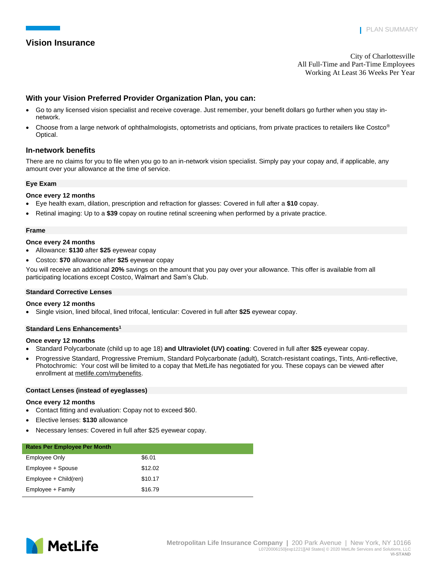# **Vision Insurance**

City of Charlottesville All Full-Time and Part-Time Employees Working At Least 36 Weeks Per Year

# **With your Vision Preferred Provider Organization Plan, you can:**

- Go to any licensed vision specialist and receive coverage. Just remember, your benefit dollars go further when you stay innetwork.
- Choose from a large network of ophthalmologists, optometrists and opticians, from private practices to retailers like Costco® Optical.

# **In-network benefits**

There are no claims for you to file when you go to an in-network vision specialist. Simply pay your copay and, if applicable, any amount over your allowance at the time of service.

## **Eye Exam**

## **Once every 12 months**

- Eye health exam, dilation, prescription and refraction for glasses: Covered in full after a **\$10** copay.
- Retinal imaging: Up to a **\$39** copay on routine retinal screening when performed by a private practice.

### **Frame**

## **Once every 24 months**

- Allowance: **\$130** after **\$25** eyewear copay
- Costco: **\$70** allowance after **\$25** eyewear copay

You will receive an additional **20%** savings on the amount that you pay over your allowance. This offer is available from all participating locations except Costco, Walmart and Sam's Club.

## **Standard Corrective Lenses**

## **Once every 12 months**

• Single vision, lined bifocal, lined trifocal, lenticular: Covered in full after **\$25** eyewear copay.

## **Standard Lens Enhancements<sup>1</sup>**

### **Once every 12 months**

- Standard Polycarbonate (child up to age 18) **and Ultraviolet (UV) coating**: Covered in full after **\$25** eyewear copay.
- Progressive Standard, Progressive Premium, Standard Polycarbonate (adult), Scratch-resistant coatings, Tints, Anti-reflective, Photochromic: Your cost will be limited to a copay that MetLife has negotiated for you. These copays can be viewed after enrollment at [metlife.com/mybenefits.](file:///C:/nmartins-ros/AppData/Local/Microsoft/Windows/Temporary%20Internet%20Files/Content.Outlook/DENRRIGQ/metlife.com/mybenefits)

#### **Contact Lenses (instead of eyeglasses)**

#### **Once every 12 months**

- Contact fitting and evaluation: Copay not to exceed \$60.
- Elective lenses: **\$130** allowance
- Necessary lenses: Covered in full after \$25 eyewear copay.

| <b>Rates Per Employee Per Month</b> |         |
|-------------------------------------|---------|
| Employee Only                       | \$6.01  |
| Employee + Spouse                   | \$12.02 |
| Employee + Child(ren)               | \$10.17 |
| Employee + Family                   | \$16.79 |

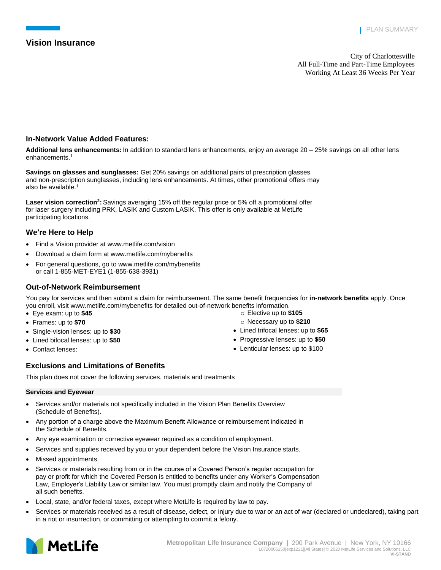# **Vision Insurance**

City of Charlottesville All Full-Time and Part-Time Employees Working At Least 36 Weeks Per Year

# **In-Network Value Added Features:**

**Additional lens enhancements:** In addition to standard lens enhancements, enjoy an average 20 – 25% savings on all other lens enhancements.<sup>1</sup>

**Savings on glasses and sunglasses:** Get 20% savings on additional pairs of prescription glasses and non-prescription sunglasses, including lens enhancements. At times, other promotional offers may also be available.<sup>1</sup>

**Laser vision correction<sup>2</sup> :** Savings averaging 15% off the regular price or 5% off a promotional offer for laser surgery including PRK, LASIK and Custom LASIK. This offer is only available at MetLife participating locations.

# **We're Here to Help**

- Find a Vision provider at [www.metlife.com/vision](http://www.metlife.com/vision)
- Download a claim form a[t www.metlife.com/mybenefits](http://www.metlife.com/mybenefits)
- For general questions, go to www.metlife.com/mybenefits or call 1-855-MET-EYE1 (1-855-638-3931)

# **Out-of-Network Reimbursement**

You pay for services and then submit a claim for reimbursement. The same benefit frequencies for **in-network benefits** apply. Once you enroll, visit www.metlife.com/mybenefits for detailed out-of-network benefits information.

> o Elective up to **\$105** o Necessary up to **\$210** • Lined trifocal lenses: up to **\$65**  • Progressive lenses: up to **\$50** • Lenticular lenses: up to \$100

- Eye exam: up to **\$45**
- Frames: up to **\$70**
- Single-vision lenses: up to **\$30**
- Lined bifocal lenses: up to **\$50**
- Contact lenses:

# **Exclusions and Limitations of Benefits**

This plan does not cover the following services, materials and treatments

## **Services and Eyewear**

- Services and/or materials not specifically included in the Vision Plan Benefits Overview (Schedule of Benefits).
- Any portion of a charge above the Maximum Benefit Allowance or reimbursement indicated in the Schedule of Benefits.
- Any eye examination or corrective eyewear required as a condition of employment.
- Services and supplies received by you or your dependent before the Vision Insurance starts.
- Missed appointments.
- Services or materials resulting from or in the course of a Covered Person's regular occupation for pay or profit for which the Covered Person is entitled to benefits under any Worker's Compensation Law, Employer's Liability Law or similar law. You must promptly claim and notify the Company of all such benefits.
- Local, state, and/or federal taxes, except where MetLife is required by law to pay.
- Services or materials received as a result of disease, defect, or injury due to war or an act of war (declared or undeclared), taking part in a riot or insurrection, or committing or attempting to commit a felony.